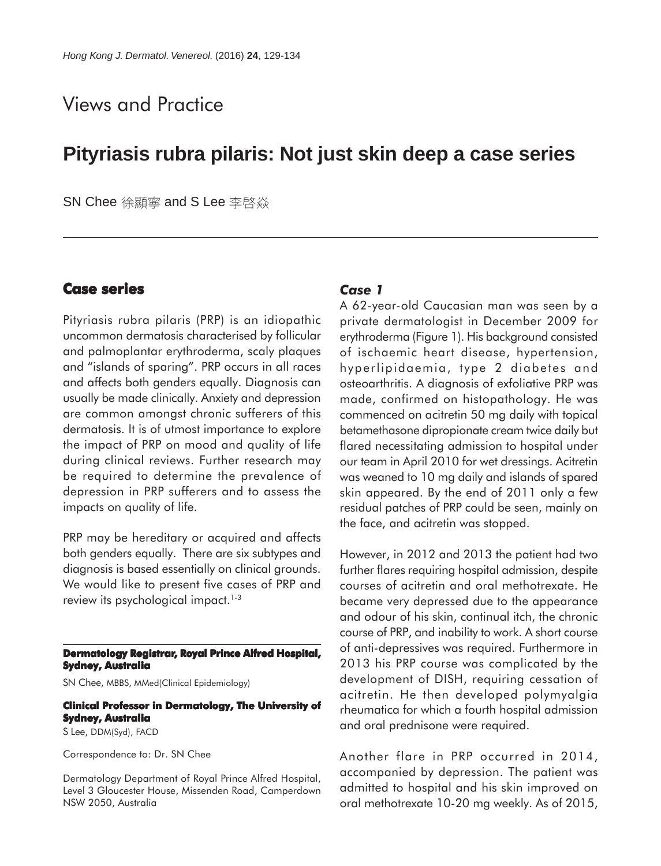# Views and Practice

# **Pityriasis rubra pilaris: Not just skin deep a case series**

SN Chee 徐顯寧 and S Lee 李啓焱

## **Case series**

Pityriasis rubra pilaris (PRP) is an idiopathic uncommon dermatosis characterised by follicular and palmoplantar erythroderma, scaly plaques and "islands of sparing". PRP occurs in all races and affects both genders equally. Diagnosis can usually be made clinically. Anxiety and depression are common amongst chronic sufferers of this dermatosis. It is of utmost importance to explore the impact of PRP on mood and quality of life during clinical reviews. Further research may be required to determine the prevalence of depression in PRP sufferers and to assess the impacts on quality of life.

PRP may be hereditary or acquired and affects both genders equally. There are six subtypes and diagnosis is based essentially on clinical grounds. We would like to present five cases of PRP and review its psychological impact.<sup>1-3</sup>

#### **Dermatology Registrar, Royal Prince Alfred Hospital, Sydney, Australia**

SN Chee, MBBS, MMed(Clinical Epidemiology)

## **Clinical Professor in Dermatology, The University of Sydney, Australia**

S Lee, DDM(Syd), FACD

Correspondence to: Dr. SN Chee

Dermatology Department of Royal Prince Alfred Hospital, Level 3 Gloucester House, Missenden Road, Camperdown NSW 2050, Australia

#### *Case 1*

A 62-year-old Caucasian man was seen by a private dermatologist in December 2009 for erythroderma (Figure 1). His background consisted of ischaemic heart disease, hypertension, hyperlipidaemia, type 2 diabetes and osteoarthritis. A diagnosis of exfoliative PRP was made, confirmed on histopathology. He was commenced on acitretin 50 mg daily with topical betamethasone dipropionate cream twice daily but flared necessitating admission to hospital under our team in April 2010 for wet dressings. Acitretin was weaned to 10 mg daily and islands of spared skin appeared. By the end of 2011 only a few residual patches of PRP could be seen, mainly on the face, and acitretin was stopped.

However, in 2012 and 2013 the patient had two further flares requiring hospital admission, despite courses of acitretin and oral methotrexate. He became very depressed due to the appearance and odour of his skin, continual itch, the chronic course of PRP, and inability to work. A short course of anti-depressives was required. Furthermore in 2013 his PRP course was complicated by the development of DISH, requiring cessation of acitretin. He then developed polymyalgia rheumatica for which a fourth hospital admission and oral prednisone were required.

Another flare in PRP occurred in 2014, accompanied by depression. The patient was admitted to hospital and his skin improved on oral methotrexate 10-20 mg weekly. As of 2015,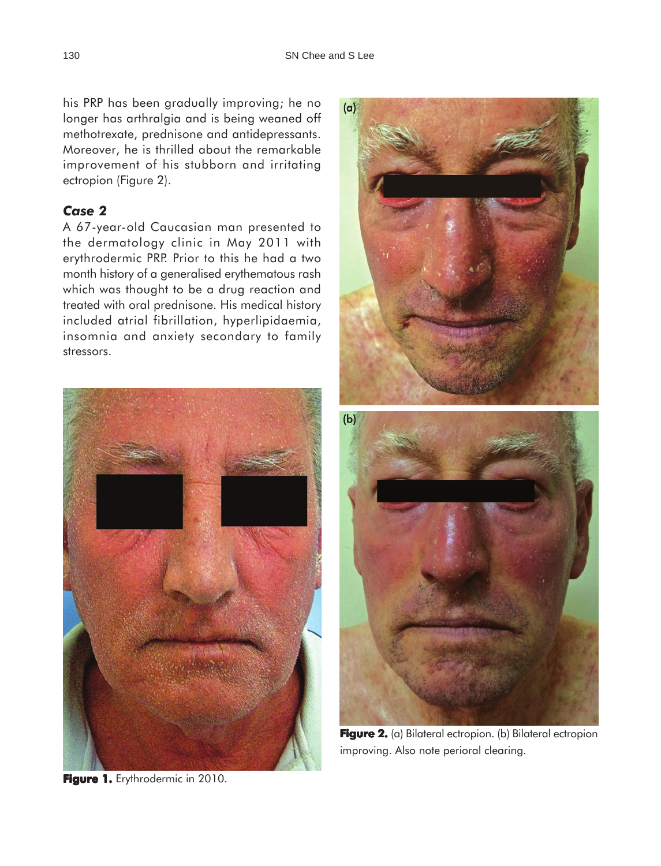his PRP has been gradually improving; he no longer has arthralgia and is being weaned off methotrexate, prednisone and antidepressants. Moreover, he is thrilled about the remarkable improvement of his stubborn and irritating ectropion (Figure 2).

## *Case 2*

A 67-year-old Caucasian man presented to the dermatology clinic in May 2011 with erythrodermic PRP. Prior to this he had a two month history of a generalised erythematous rash which was thought to be a drug reaction and treated with oral prednisone. His medical history included atrial fibrillation, hyperlipidaemia, insomnia and anxiety secondary to family stressors.



Figure 1. Erythrodermic in 2010.



**Figure 2.** (a) Bilateral ectropion. (b) Bilateral ectropion improving. Also note perioral clearing.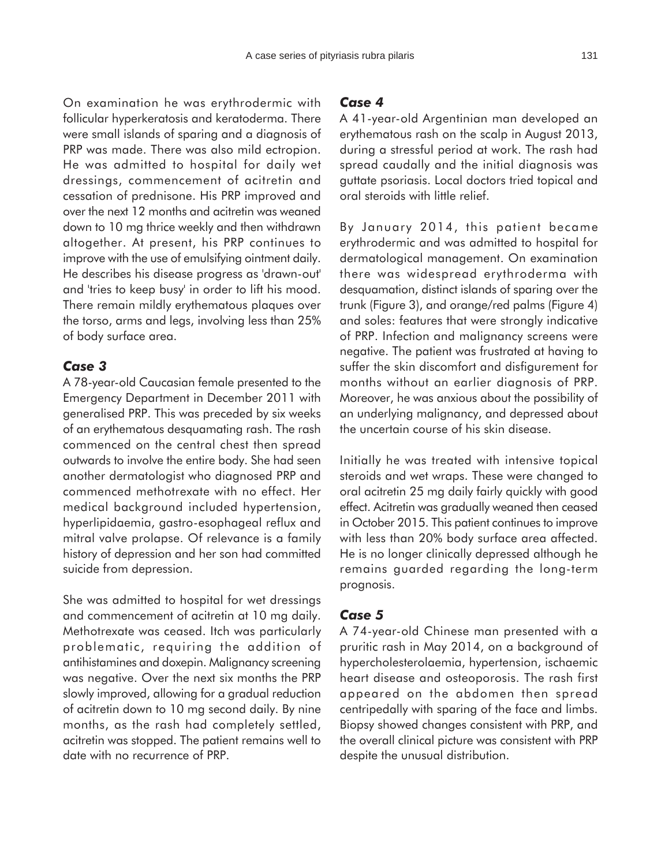On examination he was erythrodermic with follicular hyperkeratosis and keratoderma. There were small islands of sparing and a diagnosis of PRP was made. There was also mild ectropion. He was admitted to hospital for daily wet dressings, commencement of acitretin and cessation of prednisone. His PRP improved and over the next 12 months and acitretin was weaned down to 10 mg thrice weekly and then withdrawn altogether. At present, his PRP continues to improve with the use of emulsifying ointment daily. He describes his disease progress as 'drawn-out' and 'tries to keep busy' in order to lift his mood. There remain mildly erythematous plaques over the torso, arms and legs, involving less than 25% of body surface area.

#### *Case 3*

A 78-year-old Caucasian female presented to the Emergency Department in December 2011 with generalised PRP. This was preceded by six weeks of an erythematous desquamating rash. The rash commenced on the central chest then spread outwards to involve the entire body. She had seen another dermatologist who diagnosed PRP and commenced methotrexate with no effect. Her medical background included hypertension, hyperlipidaemia, gastro-esophageal reflux and mitral valve prolapse. Of relevance is a family history of depression and her son had committed suicide from depression.

She was admitted to hospital for wet dressings and commencement of acitretin at 10 mg daily. Methotrexate was ceased. Itch was particularly problematic, requiring the addition of antihistamines and doxepin. Malignancy screening was negative. Over the next six months the PRP slowly improved, allowing for a gradual reduction of acitretin down to 10 mg second daily. By nine months, as the rash had completely settled, acitretin was stopped. The patient remains well to date with no recurrence of PRP.

#### *Case 4*

A 41-year-old Argentinian man developed an erythematous rash on the scalp in August 2013, during a stressful period at work. The rash had spread caudally and the initial diagnosis was guttate psoriasis. Local doctors tried topical and oral steroids with little relief.

By January 2014, this patient became erythrodermic and was admitted to hospital for dermatological management. On examination there was widespread erythroderma with desquamation, distinct islands of sparing over the trunk (Figure 3), and orange/red palms (Figure 4) and soles: features that were strongly indicative of PRP. Infection and malignancy screens were negative. The patient was frustrated at having to suffer the skin discomfort and disfigurement for months without an earlier diagnosis of PRP. Moreover, he was anxious about the possibility of an underlying malignancy, and depressed about the uncertain course of his skin disease.

Initially he was treated with intensive topical steroids and wet wraps. These were changed to oral acitretin 25 mg daily fairly quickly with good effect. Acitretin was gradually weaned then ceased in October 2015. This patient continues to improve with less than 20% body surface area affected. He is no longer clinically depressed although he remains guarded regarding the long-term prognosis.

#### *Case 5*

A 74-year-old Chinese man presented with a pruritic rash in May 2014, on a background of hypercholesterolaemia, hypertension, ischaemic heart disease and osteoporosis. The rash first appeared on the abdomen then spread centripedally with sparing of the face and limbs. Biopsy showed changes consistent with PRP, and the overall clinical picture was consistent with PRP despite the unusual distribution.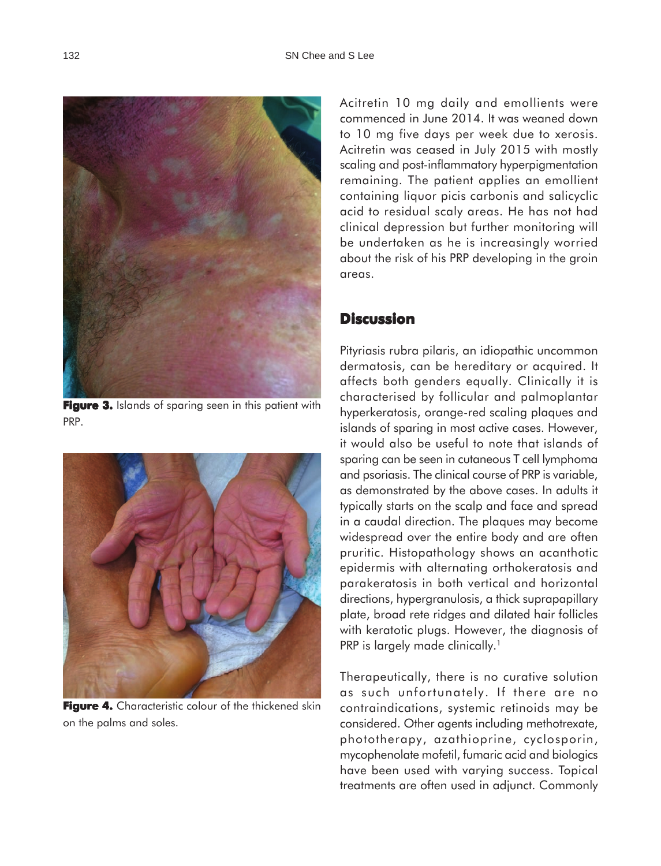

**Figure 3.** Islands of sparing seen in this patient with PRP.



**Figure 4.** Characteristic colour of the thickened skin on the palms and soles.

Acitretin 10 mg daily and emollients were commenced in June 2014. It was weaned down to 10 mg five days per week due to xerosis. Acitretin was ceased in July 2015 with mostly scaling and post-inflammatory hyperpigmentation remaining. The patient applies an emollient containing liquor picis carbonis and salicyclic acid to residual scaly areas. He has not had clinical depression but further monitoring will be undertaken as he is increasingly worried about the risk of his PRP developing in the groin areas.

### **Discussion**

Pityriasis rubra pilaris, an idiopathic uncommon dermatosis, can be hereditary or acquired. It affects both genders equally. Clinically it is characterised by follicular and palmoplantar hyperkeratosis, orange-red scaling plaques and islands of sparing in most active cases. However, it would also be useful to note that islands of sparing can be seen in cutaneous T cell lymphoma and psoriasis. The clinical course of PRP is variable, as demonstrated by the above cases. In adults it typically starts on the scalp and face and spread in a caudal direction. The plaques may become widespread over the entire body and are often pruritic. Histopathology shows an acanthotic epidermis with alternating orthokeratosis and parakeratosis in both vertical and horizontal directions, hypergranulosis, a thick suprapapillary plate, broad rete ridges and dilated hair follicles with keratotic plugs. However, the diagnosis of PRP is largely made clinically.<sup>1</sup>

Therapeutically, there is no curative solution as such unfortunately. If there are no contraindications, systemic retinoids may be considered. Other agents including methotrexate, phototherapy, azathioprine, cyclosporin, mycophenolate mofetil, fumaric acid and biologics have been used with varying success. Topical treatments are often used in adjunct. Commonly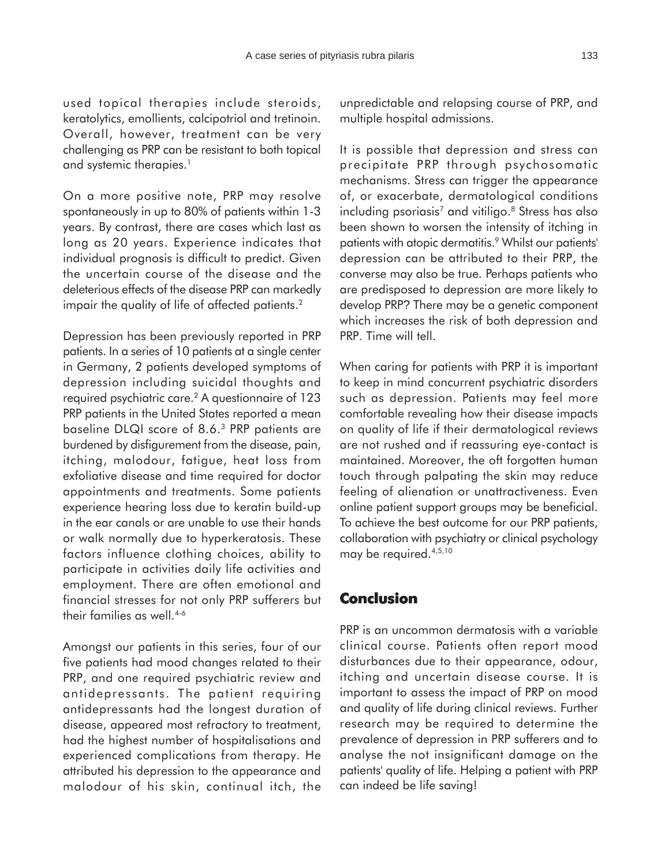used topical therapies include steroids, keratolytics, emollients, calcipotriol and tretinoin. Overall, however, treatment can be very challenging as PRP can be resistant to both topical and systemic therapies.<sup>1</sup>

On a more positive note, PRP may resolve spontaneously in up to 80% of patients within 1-3 years. By contrast, there are cases which last as long as 20 years. Experience indicates that individual prognosis is difficult to predict. Given the uncertain course of the disease and the deleterious effects of the disease PRP can markedly impair the quality of life of affected patients.<sup>2</sup>

Depression has been previously reported in PRP patients. In a series of 10 patients at a single center in Germany, 2 patients developed symptoms of depression including suicidal thoughts and required psychiatric care.2 A questionnaire of 123 PRP patients in the United States reported a mean baseline DLQI score of 8.6.3 PRP patients are burdened by disfigurement from the disease, pain, itching, malodour, fatigue, heat loss from exfoliative disease and time required for doctor appointments and treatments. Some patients experience hearing loss due to keratin build-up in the ear canals or are unable to use their hands or walk normally due to hyperkeratosis. These factors influence clothing choices, ability to participate in activities daily life activities and employment. There are often emotional and financial stresses for not only PRP sufferers but their families as well.4-6

Amongst our patients in this series, four of our five patients had mood changes related to their PRP, and one required psychiatric review and antidepressants. The patient requiring antidepressants had the longest duration of disease, appeared most refractory to treatment, had the highest number of hospitalisations and experienced complications from therapy. He attributed his depression to the appearance and malodour of his skin, continual itch, the unpredictable and relapsing course of PRP, and multiple hospital admissions.

It is possible that depression and stress can precipitate PRP through psychosomatic mechanisms. Stress can trigger the appearance of, or exacerbate, dermatological conditions including psoriasis<sup>7</sup> and vitiligo.<sup>8</sup> Stress has also been shown to worsen the intensity of itching in patients with atopic dermatitis.<sup>9</sup> Whilst our patients' depression can be attributed to their PRP, the converse may also be true. Perhaps patients who are predisposed to depression are more likely to develop PRP? There may be a genetic component which increases the risk of both depression and PRP. Time will tell.

When caring for patients with PRP it is important to keep in mind concurrent psychiatric disorders such as depression. Patients may feel more comfortable revealing how their disease impacts on quality of life if their dermatological reviews are not rushed and if reassuring eye-contact is maintained. Moreover, the oft forgotten human touch through palpating the skin may reduce feeling of alienation or unattractiveness. Even online patient support groups may be beneficial. To achieve the best outcome for our PRP patients, collaboration with psychiatry or clinical psychology may be required.4,5,10

### **Conclusion**

PRP is an uncommon dermatosis with a variable clinical course. Patients often report mood disturbances due to their appearance, odour, itching and uncertain disease course. It is important to assess the impact of PRP on mood and quality of life during clinical reviews. Further research may be required to determine the prevalence of depression in PRP sufferers and to analyse the not insignificant damage on the patients' quality of life. Helping a patient with PRP can indeed be life saving!